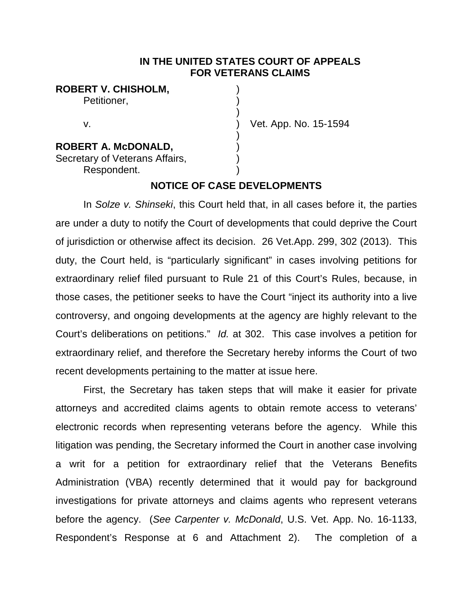#### **IN THE UNITED STATES COURT OF APPEALS FOR VETERANS CLAIMS**

### **ROBERT V. CHISHOLM,** )

Petitioner.

## **ROBERT A. McDONALD,** )

Secretary of Veterans Affairs, Respondent. )

v. ) Vet. App. No. 15-1594

#### **NOTICE OF CASE DEVELOPMENTS**

)

)

In *Solze v. Shinseki*, this Court held that, in all cases before it, the parties are under a duty to notify the Court of developments that could deprive the Court of jurisdiction or otherwise affect its decision. 26 Vet.App. 299, 302 (2013). This duty, the Court held, is "particularly significant" in cases involving petitions for extraordinary relief filed pursuant to Rule 21 of this Court's Rules, because, in those cases, the petitioner seeks to have the Court "inject its authority into a live controversy, and ongoing developments at the agency are highly relevant to the Court's deliberations on petitions." *Id.* at 302. This case involves a petition for extraordinary relief, and therefore the Secretary hereby informs the Court of two recent developments pertaining to the matter at issue here.

First, the Secretary has taken steps that will make it easier for private attorneys and accredited claims agents to obtain remote access to veterans' electronic records when representing veterans before the agency. While this litigation was pending, the Secretary informed the Court in another case involving a writ for a petition for extraordinary relief that the Veterans Benefits Administration (VBA) recently determined that it would pay for background investigations for private attorneys and claims agents who represent veterans before the agency. (*See Carpenter v. McDonald*, U.S. Vet. App. No. 16-1133, Respondent's Response at 6 and Attachment 2). The completion of a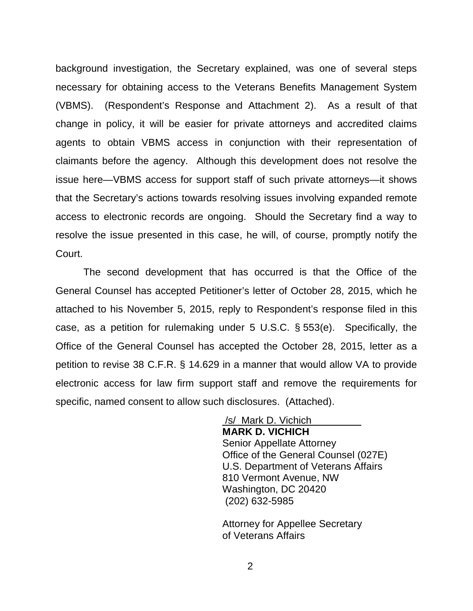background investigation, the Secretary explained, was one of several steps necessary for obtaining access to the Veterans Benefits Management System (VBMS). (Respondent's Response and Attachment 2). As a result of that change in policy, it will be easier for private attorneys and accredited claims agents to obtain VBMS access in conjunction with their representation of claimants before the agency. Although this development does not resolve the issue here—VBMS access for support staff of such private attorneys—it shows that the Secretary's actions towards resolving issues involving expanded remote access to electronic records are ongoing. Should the Secretary find a way to resolve the issue presented in this case, he will, of course, promptly notify the Court.

The second development that has occurred is that the Office of the General Counsel has accepted Petitioner's letter of October 28, 2015, which he attached to his November 5, 2015, reply to Respondent's response filed in this case, as a petition for rulemaking under 5 U.S.C. § 553(e). Specifically, the Office of the General Counsel has accepted the October 28, 2015, letter as a petition to revise 38 C.F.R. § 14.629 in a manner that would allow VA to provide electronic access for law firm support staff and remove the requirements for specific, named consent to allow such disclosures. (Attached).

> /s/ Mark D. Vichich **MARK D. VICHICH** Senior Appellate Attorney Office of the General Counsel (027E) U.S. Department of Veterans Affairs 810 Vermont Avenue, NW Washington, DC 20420 (202) 632-5985

 Attorney for Appellee Secretary of Veterans Affairs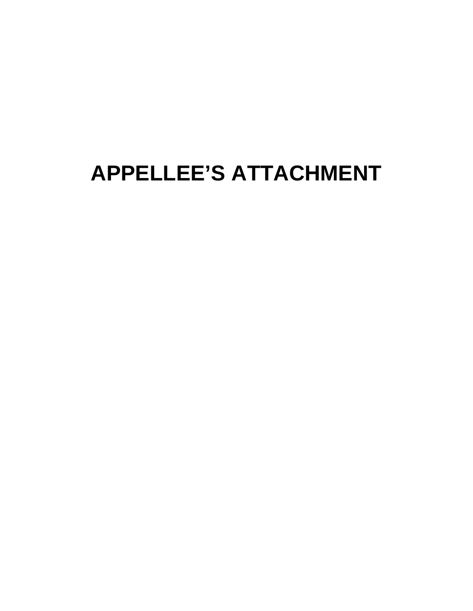# **APPELLEE'S ATTACHMENT**